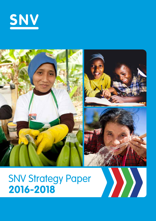



# SNV Strategy Paper **2016-2018**

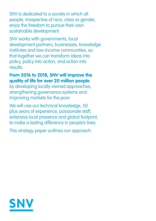SNV is dedicated to a society in which all people, irrespective of race, class or gender, enjoy the freedom to pursue their own sustainable development.

SNV works with governments, local development partners, businesses, knowledge institutes and low-income communities, so that together we can transform ideas into policy, policy into action, and action into results.

## **From 2016 to 2018, SNV will improve the quality of life for over 20 million people**

by developing locally-owned approaches, strengthening governance systems and improving markets for the poor.

We will use our technical knowledge, 50 plus years of experience, passionate staff, extensive local presence and global footprint, to make a lasting difference in people's lives.

This strategy paper outlines our approach.

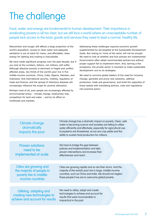# The challenge

Food, water and energy are fundamental to human development. Their importance in eradicating poverty is all too clear, but we still face a world where an unacceptable number of people lack access to the basic goods and services they need to lead a normal, healthy life.

Malnutrition and hunger still affects a large proportion of the world's population; access to clean water and adequate sanitation is out of reach for many; and affordable, clean energy for lighting and cooking is inaccessible.

We have made significant progress over the past decade, but if you look at the numbers, billions, not millions, still suffer. Although absolute poverty is dominant in fragile and conflictaffected areas, two thirds of the world's poor live in five middle-income countries: China, India, Nigeria, Pakistan, and Indonesia. And international security, mobility, regulation of trade and finance, and the spread of infectious diseases will increasingly influence the scope for poverty alleviation.

Perhaps most of all, poor people are increasingly affected by environmental stress – climate change, biodiversity loss, competition for land and water – and by its effect on livelihoods and markets.

Addressing these challenges requires economic growth supplemented by aid targeted at the Sustainable Development Goals. But relying on 'more of the same' will not be enough. We need to look at whether and how policies are implemented. Governments often adopt recommended policies but without proper support fail to implement them. And, barring a few exceptions, the private sector is reluctant to make sustainable development core to its strategies.

We need to convince global leaders of the need for inclusive change; generate and prove new solutions; address production, trade and governance; and build the capacities of those tasked with translating policies, rules and regulations into practical action.

| Climate change<br>dramatically<br>impacts the poor                                                 | Climate change has a dramatic impact on poverty. Clean, safe<br>water is becoming scarcer and societies are failing to utilise<br>water efficiently and effectively, especially for agricultural use.<br>Ecosystems are threatened, as too are crop yields and the<br>ability to sustain food production for millions. |
|----------------------------------------------------------------------------------------------------|------------------------------------------------------------------------------------------------------------------------------------------------------------------------------------------------------------------------------------------------------------------------------------------------------------------------|
|                                                                                                    |                                                                                                                                                                                                                                                                                                                        |
| <b>Proven solutions</b><br>need to be<br>implemented at scale                                      | We have to bridge the gap between<br>policies and implementation and take<br>proven interventions and increase their<br>effectiveness and reach.                                                                                                                                                                       |
|                                                                                                    |                                                                                                                                                                                                                                                                                                                        |
| Cities are growing and<br>the majority of people in<br>poverty live in middle-<br>income countries | Cities are growing rapidly and so are their slums. And the<br>majority of the world's poor live in large, middle-income<br>countries, such as China and India. We should not neglect<br>these people if we are to overcome global poverty.                                                                             |
|                                                                                                    |                                                                                                                                                                                                                                                                                                                        |
| Utilising, adapting and<br>creating new technologies to<br>achieve and account for results         | We need to utilise, adapt and create<br>technologies to achieve and account for<br>results that were inconceivable or<br>impractical in the past.                                                                                                                                                                      |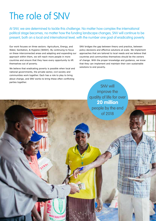# The role of SNV

At SNV, we are determined to tackle this challenge. No matter how complex the international political stage becomes, no matter how the funding landscape changes, SNV will continue to be present, both on a local and international level, with the number one goal of eradicating poverty.

Our work focuses on three sectors: Agriculture, Energy, and Water, Sanitation, & Hygiene (WASH). By continuing to focus on these interconnected areas and adapting and expanding our approach within them, we will reach more people in more countries and ensure that they have every opportunity to lift themselves out of poverty.

We believe that eradicating poverty is possible when local and national governments, the private sector, civil society and communities work together. Each has a role to play to bring about change, and SNV works to bring these often conflicting parties together.

4 SNV Strategy Paper 2016-2018

QUALITYM

SNV bridges the gap between theory and practice, between policy decisions and effective solutions at scale. We implement approaches that are tailored to local needs and we believe that countries and communities themselves should be the owners of change. With the proper knowledge and guidance, we know that they can implement and maintain their own sustainable solutions to end poverty.

> SNV will improve the quality of life for over **20 million**  people by the end of 2018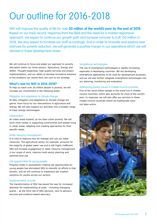# Our outline for 2016-2018

SNV will improve the quality of life for over **20 million of the world's poor by the end of 2018**. Based on our track record, response from the field and the need for a market responsive approach, we expect to continue our growth path and increase turnover to EUR 150 million in 2018. We also expect to increase our staff accordingly. And in order to innovate and explore new avenues for poverty reduction, we will generate a positive margin in our operations which we will reinvest in these development areas.

We will continue to focus and adapt our approach to poverty alleviation within our three sectors: Agriculture, Energy and WASH. Thought leadership; high quality services and project implementation; and our ability to develop innovative solutions to the problems our clients face, are core to our strategy.

#### **What's new for SNV in 2016-2018?**

To help us reach over 20 million people in poverty, we will increase our involvement in the following areas:

#### Mitigation and adaptation to climate change

At SNV, mitigation and adaptation to climate change will garner more focus for our interventions in agriculture and energy. We will also expand our activities into a broader range of clean energy technologies.

#### **Urbanisation**

As urban areas expand, so too does urban poverty. We will work more closely in supporting communities and people living in urban areas, adapting and creating approaches for their specific needs.

#### Water resource management

It is vital to improve how we manage and use our water resources. The agricultural sector, for example, accounts for the majority of global water use and is still highly inefficient. SNV will increase engagement in water resource management in our scope of work, improve multi-sector planning and optimise land use.

#### Job opportunities for young people

Progress made in successfully creating job opportunities for young people has stimulated SNV to intensify its efforts in that domain, and we will continue to implement job creation solutions for youths across our sectors.

#### Implementation at scale

The transformation of SNV has paved the way for increased attention for implementing at scale – including managing grants – as the third role of SNV advisors, next to advisory services and evidence-based advocacy.

#### Smartphone technologies

The use of smartphone technologies is rapidly increasing, especially in developing countries. We are developing smartphone applications to be used for development purposes, and we will also further integrate smartphone technologies into our planning, monitoring and evaluation.

#### Addressing poverty issues in middle-income countries

Five of the seven billion people in the world live in middleincome countries, which also accounts for most of the world's poor. In response, we will also offer our services in these middle-income countries where we traditionally have not been active.

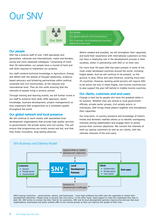# Our SNV



#### Our people

Our global network and local presence Our customers, local development partners, clients and end-users

#### **Our people**

SNV has a diverse staff of over 1300 specialists and generalists, nationals and internationals, males and females, young and more seasoned colleagues. Comprising of more than 50 nationalities, our people have a myriad of hard and soft skills required to implement our projects.

Our staff combine technical knowledge in Agriculture, Energy and WASH with the skillset of thought leadership, evidencebased advocacy and brokering partnerships within political, corporate and civil communities, at the national and international level. They do this while ensuring that the interests of people living in poverty prevail.

Through training and learning events, we will further invest in our staff to enhance their skills (SNV approach, sector knowledge, business development, project management) so they implement SNV programmes at a consistent quality throughout the world.

#### **Our global network and local presence**

We will continue to work closely with specialised local development organisations that provide high quality services to governments, the private sector and civil society. This will ensure that programmes are locally owned and led, and that they foster innovative, long-lasting alliances.

Where needed and possible, we will strengthen their capacities and build their experience with international customers so they can have a catalysing role in the development process in their societies, either in partnership with SNV or on their own.

For more than 50 years SNV has been present in some of the most under-developed countries around the world, including fragile states. And we will continue to be present, on the ground, in Asia, Africa and Latin America, covering more than 35 countries. However, tackling world poverty will require SNV to be active not only in these fragile, low-income countries but to also support the poor left behind in middle-income countries.

#### **Our clients, customers and end-users**

Change is best led by people who have the greatest stake in its solution. Whether they are central or local government officials, private sector groups, civil society actors, or individuals, SNV brings these players together and strengthens their capacities.

Our long-term, in-country presence and knowledge of historic trends and domestic realities allows us to identify overlapping interests among stakeholders and engage them to jointly pursue their common objectives. We connect the interests of both our paying customers as well as our clients, with the ultimate interests of the end-users.



*SNV's paying customers – governments, donors, and businesses – have high ambitions but often lack the capacities to realise their development objectives. People living in poverty (the end-users), on the other hand, need support to meet the challenges they face in*  daily life. SNV works to connect the dots. Paid by its customers, SNV and its local development partners improve the services that local *organisations, businesses and public entities offer to low income groups so they can improve the quality of their lives.*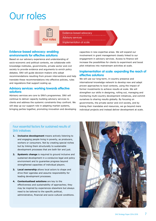# Our roles



Implementation at scale Evidence-based advocacy Advisory services Implementation at scale Advisory services

Evidence-based advocacy

### **Evidence-based advocacy: enabling environments for effective solutions**

Based on our advisory experience and understanding of socio-economic and political contexts, we collaborate with knowledge institutes, governments, private sector and civil society to provide evidence and arguments to enrich policy debates. SNV will guide decision-makers who adopt recommendations resulting from proven interventions and help translate these recommendations into effective policies, rules and regulations that support scaling up.

### **Advisory services: working towards effective solutions**

Advisory services are core to SNV's programmes. SNV will continue to deliver capacity building advisory services to clients and address the systemic constraints they confront. We will step up our support role in adapting market systems, bringing parties together, promoting innovation and developing capacities in new expertise areas. We will expand our involvement in grant management closely linked to our engagement in advisory services. Access to finance will increase the possibilities for clients to experiment and boost pilot initiatives into mainstream activities at scale.

### **Implementation at scale: expanding the reach of effective solutions**

We will use our long-term, in-country presence and international knowledge network to develop new and adapt proven approaches to local contexts, using the impact of former investments to achieve results at scale. We will strengthen our skills in designing, rolling out, managing and monitoring multi-country development initiatives, and commit ourselves to sharing results globally. By focusing on governments, the private sector and civil society, and by linking their mandates and resources, we go beyond mere individual projects and instead deliver development at scale.

## Four essential factors for sustained results of SNV initiatives

- **1. Inclusive development** means actively listening to and engaging people living in poverty, as producers, workers or consumers. Not by creating special niches but by linking them structurally to sustainable development processes that are both fair and just.
- **2. Systemic change** is required to ground inclusive and sustained development in a conducive legal and policy environment and to guarantee progress beyond strengthened capacities of individual players.
- **3. Local ownership** allows local actors to shape and drive their agendas and assume responsibility for leading development processes.
- **4. Contextualised solutions** are key to the effectiveness and sustainability of approaches; they may be inspired by experiences elsewhere but always need to be tailored to the specific political, administrative, financial and socio-cultural conditions.

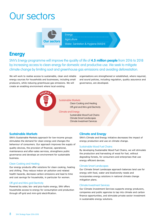# Our sectors



Energy **Agriculture** Water, Sanitation & Hygiene (WASH)

## **Energy**

SNV's Energy programme will improve the quality of life of **4.5 million people** from 2016 to 2018 by increasing access to clean energy for domestic and productive use. We seek to mitigate climate change by limiting soot and greenhouse gas emissions and avoiding deforestation.

We will work to realise access to sustainable, clean and reliable energy sources for households and businesses, including small producers, while reducing greenhouse gas emissions. We will create an enabling environment where local existing

organisations are strengthened or established, where required, and sound policies, including regulation, quality assurance and governance, are developed.



#### Sustainable Markets

Clean Cooking and Heating Off-grid and Mini-grid Electricity

#### Climate and Energy

Sustainable Wood Fuel Chains Climate Smart Landscapes Climate Investment Services

### **Sustainable Markets**

SNV's Sustainable Markets approach for low-income groups stimulates the demand for clean energy and changes the behaviour of consumers. Our approach improves the supply of quality devices, the provision of financial, operational, maintenance and after-sales services, strengthens public governance and develops an environment for sustainable business.

#### Clean Cooking and Heating

Our energy products offer solutions for clean cooking, heating and chilling. They reduce indoor air pollution and related health hazards, decrease carbon emissions and lead to time and cost savings for households, in particular for women.

#### Off-grid and Mini-grid Electricity

Powered by solar, bio- and pico-hydro energy, SNV offers households access to energy for consumption and production through off-grid and mini-grid electrification.

#### **Climate and Energy**

SNV's Climate and Energy initiative decreases the impact of energy production and use on climate change.

#### Sustainable Wood Fuel Chains

By developing Sustainable Wood Fuel Chains, we will stimulate the production and harvesting of wood for fuel, without degrading forests, for consumers and enterprises that use energy efficient devices.

#### Climate Smart Landscapes

Our Climate Smart Landscape approach balances land use for energy with food, water and biodiversity needs and incorporates energy solutions in national climate change mitigation plans.

#### Climate Investment Services

Our Climate Investment Services supports energy producers, companies and public agencies to tap into climate and carbon finance opportunities, and stimulate private sector investment in sustainable energy solutions.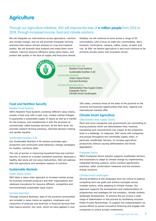## **Agriculture**

## Through our Agriculture initiatives, SNV will improve the lives of **6 million people** from 2016 to 2018, through increased income, food and climate solutions.

We will integrate our interventions across agriculture, nutrition and climate change, and we will promote evergreen farming practices that reduce climate stresses on crop and livestock quality. We will diversify food systems and make them more resilient, improve resource efficiency along value chains, and protect diet quality in the face of supply and food price shocks. Globally, we will continue to work across a range of 50 commodities, with a focus on eight key commodities: dairy, livestock, horticulture, cassava, coffee, cacao, oil palm and rice. At SNV, we believe agriculture is and must continue to be primarily private sector and innovation driven.



Food and Nutrition Security Resilient Food Systems Sustainable Nutrition 4 All Sustainable Markets Green Value Chains Inclusive Business Climate Smart Agriculture

Deforestation-free Supply Chains Evergreen Farms Climate Smart Landscapes

### **Food and Nutrition Security**

#### Resilient Food Systems

SNV's Resilient Food Systems combines different value chains, usually a food crop with a cash crop, creates market linkages to guarantee a sustainable supply of inputs as well as a market for the produce, and complements it with the provision of commercially viable business services. At the farm level, we promote resilient farming practices, informed decision-making and gender equality.

#### Sustainable Nutrition 4 All

Our Sustainable Nutrition 4 All solution promotes agroproduction and community-wide behaviour change campaigns for healthy, nutritious diets.

The role of women in improving household food and nutrition security is central as is proper sanitation practices, beacuase a healthy diet alone will not solve malnutrition. SNV will address both the agriculture and sanitation aspects of nutrition.

#### **Sustainable Markets**

#### Green Value Chains

SNV takes a value chain approach to increase market access for business-oriented producers and their organisations and catalyses innovations for resource efficient, competitive and environmentally sustainable value chains.

#### Inclusive Business

Through Inclusive Business, base of the pyramid communities are included in value chains as suppliers, employees and consumers of products and technical or financial services that help reduce poverty. Our work, which we have applied in over 200 cases, connects those at the base of the pyramid to the revenue and business opportunities that local, regional and international markets offer.

#### **Climate Smart Agriculture**

#### Deforestation-free Supply Chains

More and more companies and governments are committing to buying products which are deforestation-free, however, translating such commitments into impact at the production level is a challenge. In response, SNV works with companies and groups throughout the commodity supply chain, in particular smallholder farmers, to increase agriculture productivity without causing deforestation and forest degradation.

#### Evergreen Farms

SNV's Evergreen Farms solution supports smallholder farmers and businesses to adapt to climate change by implementing integrated farming systems, which combine agroforestry practices, water conservation measures and low emission energy solutions.

#### Climate Smart Landscapes

Solving problems at the landscape level are critical to balance competing land use goals and achieve synergies across multiple sectors, while adapting to climate change. Our approach supports the development and implementation of programmes and strategies for low emission, climate resilient landscape development. To achieve this we involve a wide range of stakeholders in this process by facilitating inclusive Public-Private Partnerships. To support the implementation we pursue efforts to access innovative financing and engage with companies to unlock private investments.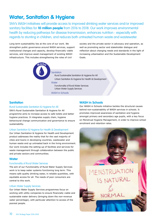## **Water, Sanitation & Hygiene**

SNV's WASH initiatives will provide access to improved drinking water services and/or improved sanitary facilities for **10 million people** from 2016 to 2018. Our work improves environmental health by reducing pathways for disease transmission, enhances nutrition - especially with regards to stunting in children, and reduces both untreated human waste and wastewater.

Long term sustainability lies at the core of our work. We strengthen public governance around WASH services, support institutional changes and capacity, develop financially viable services, and improve asset management of existing WASH infrastructure. This includes strengthening the roles of civil

society and the private sector in advocacy and operation, as well as promoting sector and stakeholder dialogue and reflection about changing needs and standards in the light of increasing urbanisation and the Sustainable Development Goals.



Urban Sanitation & Hygiene for Health & Development Functionality of Rural Water Services Urban Water Supply Services

WASH in Schools

### **Sanitation**

#### Rural Sustainable Sanitation & Hygiene for All

SNV's Rural Sustainable Sanitation & Hygiene for All programme aims to increase access to safe toilets and better hygiene practices. It integrates supply chain, hygiene behavioural change communication and governance to ensure sustainability.

#### Urban Sanitation & Hygiene for Health & Development

Our Urban Sanitation & Hygiene for Health and Development product addresses the reality that for the vast majority of cities and towns in developing countries, wastewater and human waste end up untreated back in the living environment. Our work includes the setting-up of facilities and services for waste management through collaboration between the public and private sectors and communities.

#### **Water**

#### Functionality of Rural Water Services

The aim of our Functionality of Rural Water Supply Services work is to keep water systems functioning long term. This means safe quality drinking water, in reliable quantities, with equitable access for all. The needs of poor consumers are central to this work.

#### Urban Water Supply Services

Our Urban Water Supply Services programmes focus on working with utility companies to ensure financially viable and sustainable water delivery (bringing down the non-revenue water percentage), with particular attention to access of the poorest people.

### **WASH in Schools**

Our WASH in Schools initiative tackles the structural causes behind non-sustainability of WASH services in schools. It promotes improved awareness of sanitation and hygiene amongst primary and secondary age pupils, with a key focus on Menstrual Hygiene Management, in order to improve school enrolment and retention rates.

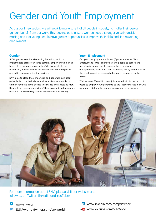# Gender and Youth Employment

Across our three sectors, we will work to make sure that all people in society, no matter their age or gender, benefit from our work. This requires us to ensure women have a stronger voice in decision making and that young people have greater opportunities to improve their skills and find rewarding employment.

#### **Gender**

SNV's gender solution (Balancing Benefits), which is implemented across our three sectors, empowers women to take active roles and ownership of decisions within the household, invests in their businesses and leadership skills, and addresses market entry barriers.

SNV aims to close the gender gap and generate significant gains for both individuals as well as society as a whole. If women have the same access to services and assets as men, they will increase productivity of their economic initiatives and enhance the well-being of their households dramatically.

### **Youth Employment**

Our youth employment solution (Opportunities for Youth Employment - OYE) connects young people to secure and meaningful employment; enables them to become entrepreneurs; invests in their leadership skills; and enhances the employment ecosystem to be more responsive to their needs.

With at least 600 million new jobs needed within the next 10 years to employ young entrants to the labour market, our OYE solution is high on the agenda across our three sectors.



For more information about SNV, please visit our website and follow us on Twitter, LinkedIn and YouTube:

www.snv.org @SNVworld (twitter.com/snvworld) www.youtube.com/SNVWorld

in. www.linkedin.com/company/snv